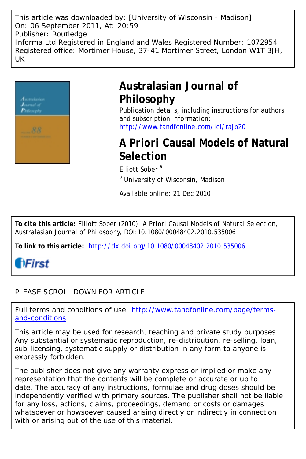This article was downloaded by: [University of Wisconsin - Madison] On: 06 September 2011, At: 20:59 Publisher: Routledge Informa Ltd Registered in England and Wales Registered Number: 1072954 Registered office: Mortimer House, 37-41 Mortimer Street, London W1T 3JH, UK



# **Australasian Journal of Philosophy**

Publication details, including instructions for authors and subscription information: <http://www.tandfonline.com/loi/rajp20>

## *A Priori* **Causal Models of Natural Selection**

Elliott Sober<sup>a</sup> <sup>a</sup> University of Wisconsin, Madison

Available online: 21 Dec 2010

**To cite this article:** Elliott Sober (2010): *A Priori* Causal Models of Natural Selection, Australasian Journal of Philosophy, DOI:10.1080/00048402.2010.535006

**To link to this article:** <http://dx.doi.org/10.1080/00048402.2010.535006>



### PLEASE SCROLL DOWN FOR ARTICLE

Full terms and conditions of use: [http://www.tandfonline.com/page/terms](http://www.tandfonline.com/page/terms-and-conditions)[and-conditions](http://www.tandfonline.com/page/terms-and-conditions)

This article may be used for research, teaching and private study purposes. Any substantial or systematic reproduction, re-distribution, re-selling, loan, sub-licensing, systematic supply or distribution in any form to anyone is expressly forbidden.

The publisher does not give any warranty express or implied or make any representation that the contents will be complete or accurate or up to date. The accuracy of any instructions, formulae and drug doses should be independently verified with primary sources. The publisher shall not be liable for any loss, actions, claims, proceedings, demand or costs or damages whatsoever or howsoever caused arising directly or indirectly in connection with or arising out of the use of this material.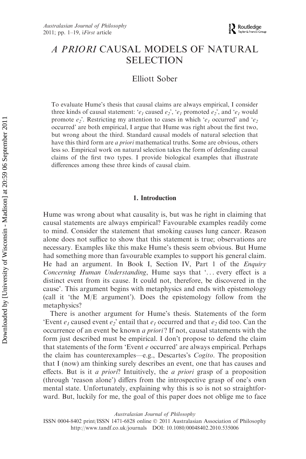## A PRIORI CAUSAL MODELS OF NATURAL **SELECTION**

### Elliott Sober

To evaluate Hume's thesis that causal claims are always empirical, I consider three kinds of causal statement: 'e<sub>1</sub> caused  $e_2$ ', 'e<sub>1</sub> promoted  $e_2$ ', and 'e<sub>1</sub> would promote  $e_2$ <sup>'</sup>. Restricting my attention to cases in which ' $e_1$  occurred' and ' $e_2$ occurred' are both empirical, I argue that Hume was right about the first two, but wrong about the third. Standard causal models of natural selection that have this third form are a priori mathematical truths. Some are obvious, others less so. Empirical work on natural selection takes the form of defending causal claims of the first two types. I provide biological examples that illustrate differences among these three kinds of causal claim.

#### 1. Introduction

Hume was wrong about what causality is, but was he right in claiming that causal statements are always empirical? Favourable examples readily come to mind. Consider the statement that smoking causes lung cancer. Reason alone does not suffice to show that this statement is true; observations are necessary. Examples like this make Hume's thesis seem obvious. But Hume had something more than favourable examples to support his general claim. He had an argument. In Book I, Section IV, Part 1 of the *Enquiry* Concerning Human Understanding, Hume says that '... every effect is a distinct event from its cause. It could not, therefore, be discovered in the cause'. This argument begins with metaphysics and ends with epistemology (call it 'the M/E argument'). Does the epistemology follow from the metaphysics?

There is another argument for Hume's thesis. Statements of the form 'Event  $e_1$  caused event  $e_2$ ' entail that  $e_1$  occurred and that  $e_2$  did too. Can the occurrence of an event be known a priori? If not, causal statements with the form just described must be empirical. I don't propose to defend the claim that statements of the form 'Event  $e$  occurred' are always empirical. Perhaps the claim has counterexamples—e.g., Descartes's Cogito. The proposition that I (now) am thinking surely describes an event, one that has causes and effects. But is it a priori? Intuitively, the a priori grasp of a proposition (through 'reason alone') differs from the introspective grasp of one's own mental state. Unfortunately, explaining why this is so is not so straightforward. But, luckily for me, the goal of this paper does not oblige me to face

Australasian Journal of Philosophy

ISSN 0004-8402 print/ISSN 1471-6828 online © 2011 Australasian Association of Philosophy http://www.tandf.co.uk/journals DOI: 10.1080/00048402.2010.535006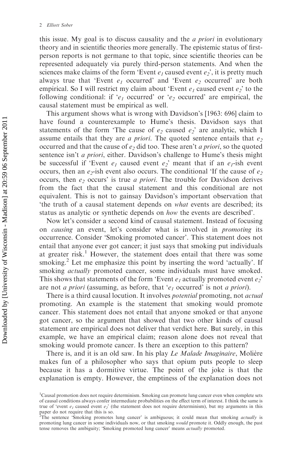this issue. My goal is to discuss causality and the a priori in evolutionary theory and in scientific theories more generally. The epistemic status of firstperson reports is not germane to that topic, since scientific theories can be represented adequately via purely third-person statements. And when the sciences make claims of the form 'Event  $e_1$  caused event  $e_2$ ', it is pretty much always true that 'Event  $e_1$  occurred' and 'Event  $e_2$  occurred' are both empirical. So I will restrict my claim about 'Event  $e_1$  caused event  $e_2$ ' to the following conditional: if ' $e_1$  occurred' or ' $e_2$  occurred' are empirical, the causal statement must be empirical as well.

This argument shows what is wrong with Davidson's [1963: 696] claim to have found a counterexample to Hume's thesis. Davidson says that statements of the form 'The cause of  $e_2$  caused  $e_2$ ' are analytic, which I assume entails that they are *a priori*. The quoted sentence entails that  $e_2$ occurred and that the cause of  $e_2$  did too. These aren't *a priori*, so the quoted sentence isn't *a priori*, either. Davidson's challenge to Hume's thesis might be successful if 'Event  $e_1$  caused event  $e_2$ ' meant that if an  $e_1$ -ish event occurs, then an  $e_2$ -ish event also occurs. The conditional 'If the cause of  $e_2$ occurs, then  $e_2$  occurs' is true *a priori*. The trouble for Davidson derives from the fact that the causal statement and this conditional are not equivalent. This is not to gainsay Davidson's important observation that 'the truth of a causal statement depends on what events are described; its status as analytic or synthetic depends on how the events are described'.

Now let's consider a second kind of causal statement. Instead of focusing on causing an event, let's consider what is involved in promoting its occurrence. Consider 'Smoking promoted cancer'. This statement does not entail that anyone ever got cancer; it just says that smoking put individuals at greater risk.<sup>1</sup> However, the statement does entail that there was some smoking.<sup>2</sup> Let me emphasize this point by inserting the word 'actually'. If smoking *actually* promoted cancer, some individuals must have smoked. This shows that statements of the form 'Event  $e_1$  actually promoted event  $e_2$ ' are not a priori (assuming, as before, that ' $e<sub>l</sub>$  occurred' is not a priori).

There is a third causal locution. It involves *potential* promoting, not *actual* promoting. An example is the statement that smoking would promote cancer. This statement does not entail that anyone smoked or that anyone got cancer, so the argument that showed that two other kinds of causal statement are empirical does not deliver that verdict here. But surely, in this example, we have an empirical claim; reason alone does not reveal that smoking would promote cancer. Is there an exception to this pattern?

There is, and it is an old saw. In his play Le Malade Imaginaire, Molière makes fun of a philosopher who says that opium puts people to sleep because it has a dormitive virtue. The point of the joke is that the explanation is empty. However, the emptiness of the explanation does not

<sup>&</sup>lt;sup>1</sup>Causal promotion does not require determinism. Smoking can promote lung cancer even when complete sets of causal conditions always confer intermediate probabilities on the effect term of interest. I think the same is true of 'event  $e_1$  caused event  $e_2$ ' (the statement does not require determinism), but my arguments in this

paper do not require that this is so.<br><sup>2</sup>The sentence 'Smoking promotes lung cancer' is ambiguous; it could mean that smoking *actually* is promoting lung cancer in some individuals now, or that smoking would promote it. Oddly enough, the past tense removes the ambiguity; 'Smoking promoted lung cancer' means actually promoted.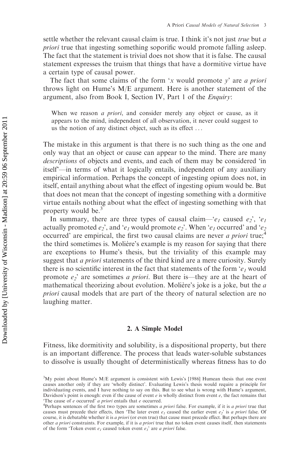settle whether the relevant causal claim is true. I think it's not just *true* but a priori true that ingesting something soporific would promote falling asleep. The fact that the statement is trivial does not show that it is false. The causal statement expresses the truism that things that have a dormitive virtue have a certain type of causal power.

The fact that some claims of the form 'x would promote  $y'$  are a priori throws light on Hume's M/E argument. Here is another statement of the argument, also from Book I, Section IV, Part 1 of the Enquiry:

When we reason *a priori*, and consider merely any object or cause, as it appears to the mind, independent of all observation, it never could suggest to us the notion of any distinct object, such as its effect . . .

The mistake in this argument is that there is no such thing as the one and only way that an object or cause can appear to the mind. There are many descriptions of objects and events, and each of them may be considered 'in itself'—in terms of what it logically entails, independent of any auxiliary empirical information. Perhaps the concept of ingesting opium does not, in itself, entail anything about what the effect of ingesting opium would be. But that does not mean that the concept of ingesting something with a dormitive virtue entails nothing about what the effect of ingesting something with that property would be.<sup>3</sup>

In summary, there are three types of causal claim—'e<sub>1</sub> caused  $e_2$ ', 'e<sub>1</sub> actually promoted  $e_2$ , and ' $e_1$  would promote  $e_2$ '. When ' $e_1$  occurred' and ' $e_2$ occurred' are empirical, the first two causal claims are never  $a$  priori true;<sup>4</sup> the third sometimes is. Molière's example is my reason for saying that there are exceptions to Hume's thesis, but the triviality of this example may suggest that *a priori* statements of the third kind are a mere curiosity. Surely there is no scientific interest in the fact that statements of the form ' $e_l$  would promote  $e_2$ ' are sometimes *a priori*. But there is—they are at the heart of mathematical theorizing about evolution. Molière's joke is a joke, but the  $a$ priori causal models that are part of the theory of natural selection are no laughing matter.

#### 2. A Simple Model

Fitness, like dormitivity and solubility, is a dispositional property, but there is an important difference. The process that leads water-soluble substances to dissolve is usually thought of deterministically whereas fitness has to do

 $3$ My point about Hume's M/E argument is consistent with Lewis's [1986] Humean thesis that one event causes another only if they are 'wholly distinct'. Evaluating Lewis's thesis would require a principle for individuating events, and I have nothing to say on this. But to see what is wrong with Hume's argument, Davidson's point is enough: even if the cause of event  $e$  is wholly distinct from event  $e$ , the fact remains that 'The cause of  $e$  occurred'  $a$  priori entails that  $e$  occurred.

 ${}^{4}$ Perhaps sentences of the first two types are sometimes *a priori* false. For example, if it is *a priori* true that causes must precede their effects, then 'The later event  $e_1$  caused the earlier event  $e_2$ ' is a priori false. Of course, it is debatable whether it is *a priori* (or even true) that cause must precede effect. But perhaps there are other a priori constraints. For example, if it is a priori true that no token event causes itself, then statements of the form 'Token event  $e_1$  caused token event  $e_1$ ' are *a priori* false.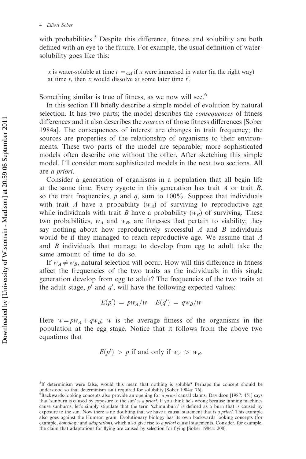with probabilities.<sup>5</sup> Despite this difference, fitness and solubility are both defined with an eye to the future. For example, the usual definition of watersolubility goes like this:

x is water-soluble at time  $t =_{def}$  if x were immersed in water (in the right way) at time  $t$ , then x would dissolve at some later time  $t'$ .

Something similar is true of fitness, as we now will see.<sup>6</sup>

In this section I'll briefly describe a simple model of evolution by natural selection. It has two parts; the model describes the *consequences* of fitness differences and it also describes the sources of those fitness differences [Sober 1984a]. The consequences of interest are changes in trait frequency; the sources are properties of the relationship of organisms to their environments. These two parts of the model are separable; more sophisticated models often describe one without the other. After sketching this simple model, I'll consider more sophisticated models in the next two sections. All are a priori.

Consider a generation of organisms in a population that all begin life at the same time. Every zygote in this generation has trait  $A$  or trait  $B$ , so the trait frequencies, p and q, sum to  $100\%$ . Suppose that individuals with trait A have a probability  $(w_A)$  of surviving to reproductive age while individuals with trait B have a probability  $(w_B)$  of surviving. These two probabilities,  $w_A$  and  $w_B$ , are fitnesses that pertain to viability; they say nothing about how reproductively successful  $\vec{A}$  and  $\vec{B}$  individuals would be if they managed to reach reproductive age. We assume that A and  $B$  individuals that manage to develop from egg to adult take the same amount of time to do so.

If  $w_A \neq w_B$ , natural selection will occur. How will this difference in fitness affect the frequencies of the two traits as the individuals in this single generation develop from egg to adult? The frequencies of the two traits at the adult stage,  $p'$  and  $q'$ , will have the following expected values:

$$
E(p') = pw_A/w \quad E(q') = qw_B/w
$$

Here  $w = pw_A + qw_B$ ; w is the average fitness of the organisms in the population at the egg stage. Notice that it follows from the above two equations that

$$
E(p') > p \text{ if and only if } w_A > w_B.
$$

<sup>&</sup>lt;sup>5</sup>If determinism were false, would this mean that nothing is soluble? Perhaps the concept should be understood so that determinism isn't required for solubility [Sober 1984a: 76].

<sup>&</sup>lt;sup>6</sup>Backwards-looking concepts also provide an opening for *a priori* causal claims. Davidson [1987: 451] says that 'sunburn is caused by exposure to the sun' is a priori. If you think he's wrong because tanning machines cause sunburns, let's simply stipulate that the term 'schmunburn' is defined as a burn that is caused by exposure to the sun. Now there is no doubting that we have a causal statement that is a priori. This example also goes against the Humean grain. Evolutionary biology has its own backwards looking concepts (for example, homology and adaptation), which also give rise to a priori causal statements. Consider, for example, the claim that adaptations for flying are caused by selection for flying [Sober 1984a: 208].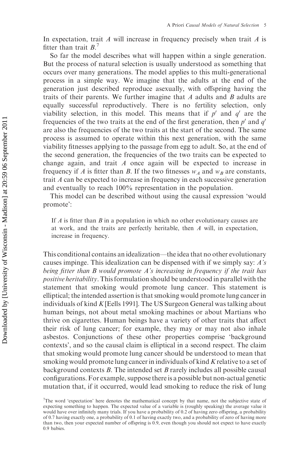In expectation, trait  $A$  will increase in frequency precisely when trait  $A$  is fitter than trait  $B<sup>7</sup>$ 

So far the model describes what will happen within a single generation. But the process of natural selection is usually understood as something that occurs over many generations. The model applies to this multi-generational process in a simple way. We imagine that the adults at the end of the generation just described reproduce asexually, with offspring having the traits of their parents. We further imagine that  $\Lambda$  adults and  $\Lambda$  adults are equally successful reproductively. There is no fertility selection, only viability selection, in this model. This means that if  $p'$  and  $q'$  are the frequencies of the two traits at the end of the first generation, then  $p'$  and  $q'$ are also the frequencies of the two traits at the start of the second. The same process is assumed to operate within this next generation, with the same viability fitnesses applying to the passage from egg to adult. So, at the end of the second generation, the frequencies of the two traits can be expected to change again, and trait  $A$  once again will be expected to increase in frequency if A is fitter than B. If the two fitnesses  $w_A$  and  $w_B$  are constants, trait A can be expected to increase in frequency in each successive generation and eventually to reach 100% representation in the population.

This model can be described without using the causal expression 'would promote':

If  $A$  is fitter than  $B$  in a population in which no other evolutionary causes are at work, and the traits are perfectly heritable, then A will, in expectation, increase in frequency.

This conditional contains an idealization—the idea that no other evolutionary causes impinge. This idealization can be dispensed with if we simply say: A's being fitter than B would promote A's increasing in frequency if the trait has positive heritability.This formulation should be understood in parallel with the statement that smoking would promote lung cancer. This statement is elliptical; the intended assertion is that smoking would promote lung cancer in individuals of kind  $K$  [Eells 1991]. The US Surgeon General was talking about human beings, not about metal smoking machines or about Martians who thrive on cigarettes. Human beings have a variety of other traits that affect their risk of lung cancer; for example, they may or may not also inhale asbestos. Conjunctions of these other properties comprise 'background contexts', and so the causal claim is elliptical in a second respect. The claim that smoking would promote lung cancer should be understood to mean that smoking would promote lung cancer in individuals of kind K relative to a set of background contexts B. The intended set B rarely includes all possible causal configurations. For example, suppose there is a possible but non-actual genetic mutation that, if it occurred, would lead smoking to reduce the risk of lung

<sup>&</sup>lt;sup>7</sup>The word 'expectation' here denotes the mathematical concept by that name, not the subjective state of expecting something to happen. The expected value of a variable is (roughly speaking) the average value it would have over infinitely many trials. If you have a probability of 0.2 of having zero offspring, a probability of 0.7 having exactly one, a probability of 0.1 of having exactly two, and a probability of zero of having more than two, then your expected number of offspring is 0.9, even though you should not expect to have exactly 0.9 babies.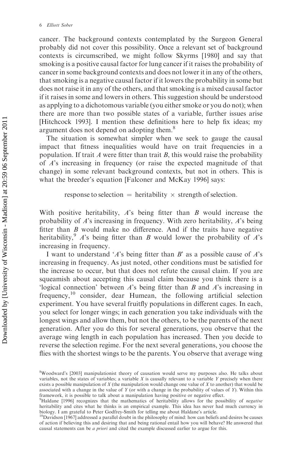cancer. The background contexts contemplated by the Surgeon General probably did not cover this possibility. Once a relevant set of background contexts is circumscribed, we might follow Skyrms [1980] and say that smoking is a positive causal factor for lung cancer if it raises the probability of cancer in some background contexts and does not lower it in any of the others, that smoking is a negative causal factor if it lowers the probability in some but does not raise it in any of the others, and that smoking is a mixed causal factor if it raises in some and lowers in others. This suggestion should be understood as applying to a dichotomous variable (you either smoke or you do not); when there are more than two possible states of a variable, further issues arise [Hitchcock 1993]. I mention these definitions here to help fix ideas; my argument does not depend on adopting them.<sup>8</sup>

The situation is somewhat simpler when we seek to gauge the causal impact that fitness inequalities would have on trait frequencies in a population. If trait  $A$  were fitter than trait  $B$ , this would raise the probability of A's increasing in frequency (or raise the expected magnitude of that change) in some relevant background contexts, but not in others. This is what the breeder's equation [Falconer and McKay 1996] says:

response to selection  $=$  heritability  $\times$  strength of selection.

With positive heritability,  $A$ 's being fitter than  $B$  would increase the probability of  $\vec{A}$ 's increasing in frequency. With zero heritability,  $\vec{A}$ 's being fitter than  $B$  would make no difference. And if the traits have negative heritability,  $9$  A's being fitter than B would lower the probability of A's increasing in frequency.

I want to understand 'A's being fitter than B' as a possible cause of  $A$ 's increasing in frequency. As just noted, other conditions must be satisfied for the increase to occur, but that does not refute the causal claim. If you are squeamish about accepting this causal claim because you think there is a 'logical connection' between  $A$ 's being fitter than  $B$  and  $A$ 's increasing in frequency,<sup>10</sup> consider, dear Humean, the following artificial selection experiment. You have several fruitfly populations in different cages. In each, you select for longer wings; in each generation you take individuals with the longest wings and allow them, but not the others, to be the parents of the next generation. After you do this for several generations, you observe that the average wing length in each population has increased. Then you decide to reverse the selection regime. For the next several generations, you choose the flies with the shortest wings to be the parents. You observe that average wing

<sup>8</sup> Woodward's [2003] manipulationist theory of causation would serve my purposes also. He talks about variables, not the states of variables; a variable  $X$  is causally relevant to a variable  $Y$  precisely when there exists a possible manipulation of  $X$  (the manipulation would change one value of  $X$  to another) that would be associated with a change in the value of Y (or with a change in the probability of values of Y). Within this framework, it is possible to talk about a manipulation having positive or negative effect.

<sup>&</sup>lt;sup>9</sup>Haldane [1996] recognizes that the mathematics of heritability allows for the possibility of negative heritability and cites what he thinks is an empirical example. This idea has never had much currency in

biology. I am grateful to Peter Godfrey-Smith for telling me about Haldane's article.<br><sup>10</sup>Davidson [1967] addressed a parallel doubt in the philosophy of mind: how can beliefs and desires be causes of action if believing this and desiring that and being rational entail how you will behave? He answered that causal statements can be a priori and cited the example discussed earlier to argue for this.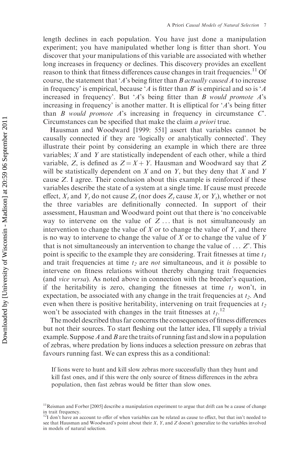length declines in each population. You have just done a manipulation experiment; you have manipulated whether long is fitter than short. You discover that your manipulations of this variable are associated with whether long increases in frequency or declines. This discovery provides an excellent reason to think that fitness differences cause changes in trait frequencies.<sup>11</sup> Of course, the statement that 'A's being fitter than B actually caused A to increase in frequency' is empirical, because 'A is fitter than B' is empirical and so is 'A increased in frequency'. But 'A's being fitter than  $B$  would promote A's increasing in frequency' is another matter. It is elliptical for  $A$ 's being fitter than  $B$  would promote  $A$ 's increasing in frequency in circumstance  $C$ . Circumstances can be specified that make the claim a priori true.

Hausman and Woodward [1999: 551] assert that variables cannot be causally connected if they are 'logically or analytically connected'. They illustrate their point by considering an example in which there are three variables;  $X$  and  $Y$  are statistically independent of each other, while a third variable, Z, is defined as  $Z = X + Y$ . Hausman and Woodward say that Z will be statistically dependent on  $X$  and on  $Y$ , but they deny that  $X$  and  $Y$ cause Z. I agree. Their conclusion about this example is reinforced if these variables describe the state of a system at a single time. If cause must precede effect,  $X_t$  and  $Y_t$  do not cause  $Z_t$  (nor does  $Z_t$  cause  $X_t$  or  $Y_t$ ), whether or not the three variables are definitionally connected. In support of their assessment, Hausman and Woodward point out that there is 'no conceivable way to intervene on the value of  $Z$ ... that is not simultaneously an intervention to change the value of  $X$  or to change the value of  $Y$ , and there is no way to intervene to change the value of  $X$  or to change the value of  $Y$ that is not simultaneously an intervention to change the value of  $\dots Z'$ . This point is specific to the example they are considering. Trait fitnesses at time  $t_1$ and trait frequencies at time  $t_2$  are *not* simultaneous, and it is possible to intervene on fitness relations without thereby changing trait frequencies (and vice versa). As noted above in connection with the breeder's equation, if the heritability is zero, changing the fitnesses at time  $t_1$  won't, in expectation, be associated with any change in the trait frequencies at  $t_2$ . And even when there is positive heritability, intervening on trait frequencies at  $t_2$ won't be associated with changes in the trait fitnesses at  $t_1$ .<sup>12</sup>

The model described thus far concerns the consequences of fitness differences but not their sources. To start fleshing out the latter idea, I'll supply a trivial example. Suppose  $A$  and  $B$  are the traits of running fast and slow in a population of zebras, where predation by lions induces a selection pressure on zebras that favours running fast. We can express this as a conditional:

If lions were to hunt and kill slow zebras more successfully than they hunt and kill fast ones, and if this were the only source of fitness differences in the zebra population, then fast zebras would be fitter than slow ones.

 $11$ Reisman and Forber [2005] describe a manipulation experiment to argue that drift can be a cause of change in trait frequency.<br><sup>12</sup>I don't have an account to offer of when variables can be related as cause to effect, but that isn't needed to

see that Hausman and Woodward's point about their  $X$ ,  $Y$ , and  $Z$  doesn't generalize to the variables involved in models of natural selection.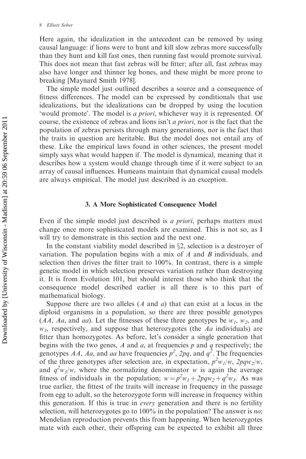Here again, the idealization in the antecedent can be removed by using causal language: if lions were to hunt and kill slow zebras more successfully than they hunt and kill fast ones, then running fast would promote survival. This does not mean that fast zebras will be fitter; after all, fast zebras may also have longer and thinner leg bones, and these might be more prone to breaking [Maynard Smith 1978].

The simple model just outlined describes a source and a consequence of fitness differences. The model can be expressed by conditionals that use idealizations, but the idealizations can be dropped by using the locution 'would promote'. The model is a priori, whichever way it is represented. Of course, the existence of zebras and lions isn't *a priori*, nor is the fact that the population of zebras persists through many generations, nor is the fact that the traits in question are heritable. But the model does not entail any of these. Like the empirical laws found in other sciences, the present model simply says what would happen if. The model is dynamical, meaning that it describes how a system would change through time if it were subject to an array of causal influences. Humeans maintain that dynamical causal models are always empirical. The model just described is an exception.

#### 3. A More Sophisticated Consequence Model

Even if the simple model just described is a priori, perhaps matters must change once more sophisticated models are examined. This is not so, as I will try to demonstrate in this section and the next one.

In the constant viability model described in  $\S2$ , selection is a destroyer of variation. The population begins with a mix of  $A$  and  $B$  individuals, and selection then drives the fitter trait to 100%. In contrast, there is a simple genetic model in which selection preserves variation rather than destroying it. It is from Evolution 101, but should interest those who think that the consequence model described earlier is all there is to this part of mathematical biology.

Suppose there are two alleles  $(A \text{ and } a)$  that can exist at a locus in the diploid organisms in a population, so there are three possible genotypes  $(AA, Aa, \text{ and } aa)$ . Let the fitnesses of these three genotypes be  $w_1, w_2$ , and  $w_3$ , respectively, and suppose that heterozygotes (the Aa individuals) are fitter than homozygotes. As before, let's consider a single generation that begins with the two genes,  $A$  and  $a$ , at frequencies  $p$  and  $q$  respectively; the genotypes AA, Aa, and aa have frequencies  $p^2$ , 2pq, and  $q^2$ . The frequencies of the three genotypes after selection are, in expectation,  $p^2w_1/w$ ,  $2pqw_2/w$ , and  $q^2w_3/w$ , where the normalizing denominator w is again the average fitness of individuals in the population;  $w = p^2 w_1 + 2pqw_2 + q^2 w_3$ . As was true earlier, the fittest of the traits will increase in frequency in the passage from egg to adult, so the heterozygote form will increase in frequency within this generation. If this is true in *every* generation and there is no fertility selection, will heterozygotes go to  $100\%$  in the population? The answer is *no*; Mendelian reproduction prevents this from happening. When heterozygotes mate with each other, their offspring can be expected to exhibit all three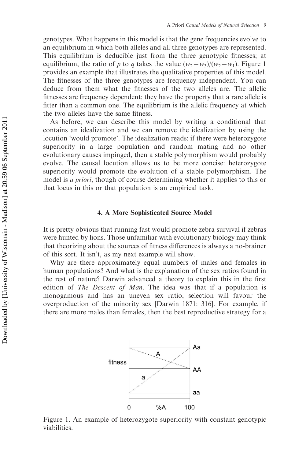genotypes. What happens in this model is that the gene frequencies evolve to an equilibrium in which both alleles and all three genotypes are represented. This equilibrium is deducible just from the three genotypic fitnesses; at equilibrium, the ratio of p to q takes the value  $(w_2-w_3)/(w_2-w_1)$ . Figure 1 provides an example that illustrates the qualitative properties of this model. The fitnesses of the three genotypes are frequency independent. You can deduce from them what the fitnesses of the two alleles are. The allelic fitnesses are frequency dependent; they have the property that a rare allele is fitter than a common one. The equilibrium is the allelic frequency at which the two alleles have the same fitness.

As before, we can describe this model by writing a conditional that contains an idealization and we can remove the idealization by using the locution 'would promote'. The idealization reads: if there were heterozygote superiority in a large population and random mating and no other evolutionary causes impinged, then a stable polymorphism would probably evolve. The causal locution allows us to be more concise: heterozygote superiority would promote the evolution of a stable polymorphism. The model is *a priori*, though of course determining whether it applies to this or that locus in this or that population is an empirical task.

#### 4. A More Sophisticated Source Model

It is pretty obvious that running fast would promote zebra survival if zebras were hunted by lions. Those unfamiliar with evolutionary biology may think that theorizing about the sources of fitness differences is always a no-brainer of this sort. It isn't, as my next example will show.

Why are there approximately equal numbers of males and females in human populations? And what is the explanation of the sex ratios found in the rest of nature? Darwin advanced a theory to explain this in the first edition of The Descent of Man. The idea was that if a population is monogamous and has an uneven sex ratio, selection will favour the overproduction of the minority sex [Darwin 1871: 316]. For example, if there are more males than females, then the best reproductive strategy for a



Figure 1. An example of heterozygote superiority with constant genotypic viabilities.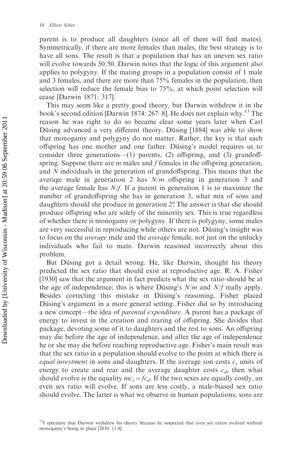parent is to produce all daughters (since all of them will find mates). Symmetrically, if there are more females than males, the best strategy is to have all sons. The result is that a population that has an uneven sex ratio will evolve towards 50/50. Darwin notes that the logic of this argument also applies to polygyny. If the mating groups in a population consist of 1 male and 3 females, and there are more than 75% females in the population, then selection will reduce the female bias to 75%, at which point selection will cease [Darwin 1871: 317].

This may seem like a pretty good theory, but Darwin withdrew it in the book's second edition [Darwin 1874: 267-8]. He does not explain why.<sup>13</sup> The reason he was right to do so became clear some years later when Carl Düsing advanced a very different theory. Düsing [1884] was able to show that monogamy and polygyny do not matter. Rather, the key is that each offspring has one mother and one father. Düsing's model requires us to consider three generations—(1) parents, (2) offspring, and (3) grandoffspring. Suppose there are  $m$  males and  $f$  females in the offspring generation, and N individuals in the generation of grandoffspring. This means that the average male in generation 2 has  $N/m$  offspring in generation 3 and the average female has  $N/f$ . If a parent in generation 1 is to maximize the number of grandoffspring she has in generation 3, what mix of sons and daughters should she produce in generation 2? The answer is that she should produce offspring who are solely of the minority sex. This is true regardless of whether there is monogamy or polygyny. If there is polygyny, some males are very successful in reproducing while others are not. Düsing's insight was to focus on the *average* male and the *average* female, not just on the unlucky individuals who fail to mate. Darwin reasoned incorrectly about this problem.

But Düsing got a detail wrong. He, like Darwin, thought his theory predicted the sex ratio that should exist at reproductive age. R. A. Fisher [1930] saw that the argument in fact predicts what the sex ratio should be at the age of independence; this is where Düsing's  $N/m$  and  $N/f$  really apply. Besides correcting this mistake in Düsing's reasoning, Fisher placed Düsing's argument in a more general setting. Fisher did so by introducing a new concept—the idea of parental expenditure. A parent has a package of energy to invest in the creation and rearing of offspring. She divides that package, devoting some of it to daughters and the rest to sons. An offspring may die before the age of independence, and after the age of independence he or she may die before reaching reproductive age. Fisher's main result was that the sex ratio in a population should evolve to the point at which there is equal investment in sons and daughters. If the average son costs  $c_s$  units of energy to create and rear and the average daughter costs  $c_d$ , then what should evolve is the equality  $mc_s = fc_d$ . If the two sexes are equally costly, an even sex ratio will evolve. If sons are less costly, a male-biased sex ratio should evolve. The latter is what we observe in human populations; sons are

 $13I$  speculate that Darwin withdrew his theory because he suspected that even sex ratios evolved without monogamy's being in place  $[2010: §3.4]$ .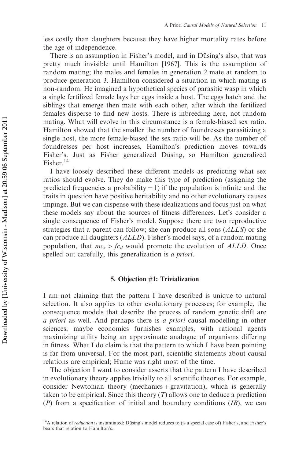less costly than daughters because they have higher mortality rates before the age of independence.

There is an assumption in Fisher's model, and in Düsing's also, that was pretty much invisible until Hamilton [1967]. This is the assumption of random mating; the males and females in generation 2 mate at random to produce generation 3. Hamilton considered a situation in which mating is non-random. He imagined a hypothetical species of parasitic wasp in which a single fertilized female lays her eggs inside a host. The eggs hatch and the siblings that emerge then mate with each other, after which the fertilized females disperse to find new hosts. There is inbreeding here, not random mating. What will evolve in this circumstance is a female-biased sex ratio. Hamilton showed that the smaller the number of foundresses parasitizing a single host, the more female-biased the sex ratio will be. As the number of foundresses per host increases, Hamilton's prediction moves towards Fisher's. Just as Fisher generalized Düsing, so Hamilton generalized Fisher.<sup>14</sup>

I have loosely described these different models as predicting what sex ratios should evolve. They do make this type of prediction (assigning the predicted frequencies a probability  $= 1$ ) if the population is infinite and the traits in question have positive heritability and no other evolutionary causes impinge. But we can dispense with these idealizations and focus just on what these models say about the sources of fitness differences. Let's consider a single consequence of Fisher's model. Suppose there are two reproductive strategies that a parent can follow; she can produce all sons (ALLS) or she can produce all daughters (ALLD). Fisher's model says, of a random mating population, that  $mc_s > fc_d$  would promote the evolution of ALLD. Once spelled out carefully, this generalization is *a priori*.

#### 5. Objection #1: Trivialization

I am not claiming that the pattern I have described is unique to natural selection. It also applies to other evolutionary processes; for example, the consequence models that describe the process of random genetic drift are a priori as well. And perhaps there is a priori causal modelling in other sciences; maybe economics furnishes examples, with rational agents maximizing utility being an approximate analogue of organisms differing in fitness. What I do claim is that the pattern to which I have been pointing is far from universal. For the most part, scientific statements about causal relations are empirical; Hume was right most of the time.

The objection I want to consider asserts that the pattern I have described in evolutionary theory applies trivially to all scientific theories. For example, consider Newtonian theory (mechanics  $+$  gravitation), which is generally taken to be empirical. Since this theory  $(T)$  allows one to deduce a prediction  $(P)$  from a specification of initial and boundary conditions  $(IB)$ , we can

 $14A$  relation of *reduction* is instantiated: Düsing's model reduces to (is a special case of) Fisher's, and Fisher's bears that relation to Hamilton's.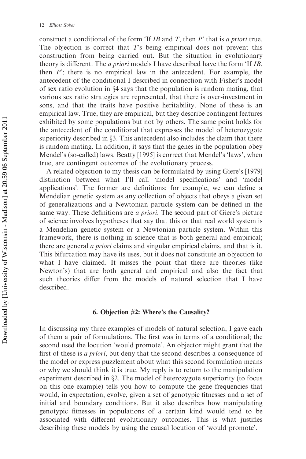construct a conditional of the form 'If  $IB$  and  $T$ , then  $P$ ' that is a priori true. The objection is correct that T's being empirical does not prevent this construction from being carried out. But the situation in evolutionary theory is different. The *a priori* models I have described have the form 'If *IB*, then  $P'$ ; there is no empirical law in the antecedent. For example, the antecedent of the conditional I described in connection with Fisher's model of sex ratio evolution in  $\S 4$  says that the population is random mating, that various sex ratio strategies are represented, that there is over-investment in sons, and that the traits have positive heritability. None of these is an empirical law. True, they are empirical, but they describe contingent features exhibited by some populations but not by others. The same point holds for the antecedent of the conditional that expresses the model of heterozygote superiority described in  $\S$ 3. This antecedent also includes the claim that there is random mating. In addition, it says that the genes in the population obey Mendel's (so-called) laws. Beatty [1995] is correct that Mendel's 'laws', when true, are contingent outcomes of the evolutionary process.

A related objection to my thesis can be formulated by using Giere's [1979] distinction between what I'll call 'model specifications' and 'model applications'. The former are definitions; for example, we can define a Mendelian genetic system as any collection of objects that obeys a given set of generalizations and a Newtonian particle system can be defined in the same way. These definitions are *a priori*. The second part of Giere's picture of science involves hypotheses that say that this or that real world system is a Mendelian genetic system or a Newtonian particle system. Within this framework, there is nothing in science that is both general and empirical; there are general *a priori* claims and singular empirical claims, and that is it. This bifurcation may have its uses, but it does not constitute an objection to what I have claimed. It misses the point that there are theories (like Newton's) that are both general and empirical and also the fact that such theories differ from the models of natural selection that I have described.

#### 6. Objection #2: Where's the Causality?

In discussing my three examples of models of natural selection, I gave each of them a pair of formulations. The first was in terms of a conditional; the second used the locution 'would promote'. An objector might grant that the first of these is *a priori*, but deny that the second describes a consequence of the model or express puzzlement about what this second formulation means or why we should think it is true. My reply is to return to the manipulation experiment described in  $\S2$ . The model of heterozygote superiority (to focus on this one example) tells you how to compute the gene frequencies that would, in expectation, evolve, given a set of genotypic fitnesses and a set of initial and boundary conditions. But it also describes how manipulating genotypic fitnesses in populations of a certain kind would tend to be associated with different evolutionary outcomes. This is what justifies describing these models by using the causal locution of 'would promote'.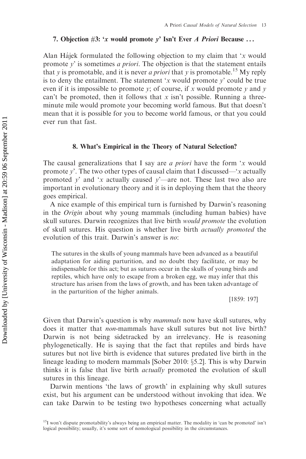#### 7. Objection  $#3: 'x$  would promote y' Isn't Ever A Priori Because ...

Alan Hajek formulated the following objection to my claim that  $x$  would promote  $y'$  is sometimes *a priori*. The objection is that the statement entails that y is promotable, and it is never a priori that y is promotable.<sup>15</sup> My reply is to deny the entailment. The statement 'x would promote  $y'$  could be true even if it is impossible to promote y; of course, if x would promote y and y can't be promoted, then it follows that x isn't possible. Running a threeminute mile would promote your becoming world famous. But that doesn't mean that it is possible for you to become world famous, or that you could ever run that fast.

#### 8. What's Empirical in the Theory of Natural Selection?

The causal generalizations that I say are *a priori* have the form  $x$  would promote y'. The two other types of causal claim that I discussed— $x$  actually promoted y' and 'x actually caused y'—are not. These last two also are important in evolutionary theory and it is in deploying them that the theory goes empirical.

A nice example of this empirical turn is furnished by Darwin's reasoning in the Origin about why young mammals (including human babies) have skull sutures. Darwin recognizes that live birth would promote the evolution of skull sutures. His question is whether live birth actually promoted the evolution of this trait. Darwin's answer is no:

The sutures in the skulls of young mammals have been advanced as a beautiful adaptation for aiding parturition, and no doubt they facilitate, or may be indispensable for this act; but as sutures occur in the skulls of young birds and reptiles, which have only to escape from a broken egg, we may infer that this structure has arisen from the laws of growth, and has been taken advantage of in the parturition of the higher animals.

[1859: 197]

Given that Darwin's question is why *mammals* now have skull sutures, why does it matter that non-mammals have skull sutures but not live birth? Darwin is not being sidetracked by an irrelevancy. He is reasoning phylogenetically. He is saying that the fact that reptiles and birds have sutures but not live birth is evidence that sutures predated live birth in the lineage leading to modern mammals [Sober 2010:  $\S$ 5.2]. This is why Darwin thinks it is false that live birth *actually* promoted the evolution of skull sutures in this lineage.

Darwin mentions 'the laws of growth' in explaining why skull sutures exist, but his argument can be understood without invoking that idea. We can take Darwin to be testing two hypotheses concerning what actually

 $15I$  won't dispute promotability's always being an empirical matter. The modality in 'can be promoted' isn't logical possibility; usually, it's some sort of nomological possibility in the circumstances.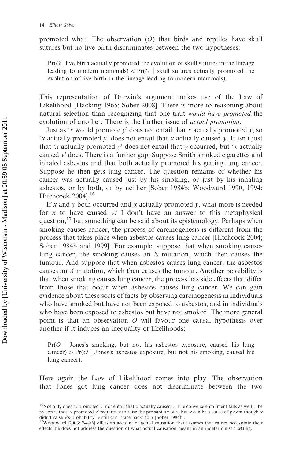promoted what. The observation  $(O)$  that birds and reptiles have skull sutures but no live birth discriminates between the two hypotheses:

 $Pr(O |$  live birth actually promoted the evolution of skull sutures in the lineage leading to modern mammals)  $\langle Pr(O \mid \text{skull sutures actually promoted the}) \rangle$ evolution of live birth in the lineage leading to modern mammals).

This representation of Darwin's argument makes use of the Law of Likelihood [Hacking 1965; Sober 2008]. There is more to reasoning about natural selection than recognizing that one trait would have promoted the evolution of another. There is the further issue of *actual promotion*.

Just as 'x would promote y' does not entail that x actually promoted y, so 'x actually promoted  $y'$  does not entail that x actually caused y. It isn't just that 'x actually promoted  $y$ ' does not entail that  $y$  occurred, but 'x actually caused y' does. There is a further gap. Suppose Smith smoked cigarettes and inhaled asbestos and that both actually promoted his getting lung cancer. Suppose he then gets lung cancer. The question remains of whether his cancer was actually caused just by his smoking, or just by his inhaling asbestos, or by both, or by neither [Sober 1984b; Woodward 1990, 1994; Hitchcock 2004].<sup>16</sup>

If x and y both occurred and x actually promoted y, what more is needed for x to have caused  $y$ ? I don't have an answer to this metaphysical question,<sup>17</sup> but something can be said about its epistemology. Perhaps when smoking causes cancer, the process of carcinogenesis is different from the process that takes place when asbestos causes lung cancer [Hitchcock 2004; Sober 1984b and 1999]. For example, suppose that when smoking causes lung cancer, the smoking causes an S mutation, which then causes the tumour. And suppose that when asbestos causes lung cancer, the asbestos causes an A mutation, which then causes the tumour. Another possibility is that when smoking causes lung cancer, the process has side effects that differ from those that occur when asbestos causes lung cancer. We can gain evidence about these sorts of facts by observing carcinogenesis in individuals who have smoked but have not been exposed to asbestos, and in individuals who have been exposed to asbestos but have not smoked. The more general point is that an observation O will favour one causal hypothesis over another if it induces an inequality of likelihoods:

 $Pr(O | Jones's smoking, but not his abstos exposure, caused his lung)$ cancer)  $> Pr(O | Jones's$  asbestos exposure, but not his smoking, caused his lung cancer).

Here again the Law of Likelihood comes into play. The observation that Jones got lung cancer does not discriminate between the two

<sup>&</sup>lt;sup>16</sup>Not only does 'x promoted y' not entail that x actually caused y. The converse entailment fails as well. The reason is that 'x promoted y' requires x to raise the probability of y; but x can be a cause of y even though x didn't raise y's probability; y still can 'trace back' to x [Sober 1984b].

 $17$ Woodward [2003: 74–86] offers an account of actual causation that assumes that causes necessitate their effects; he does not address the question of what actual causation means in an indeterministic setting.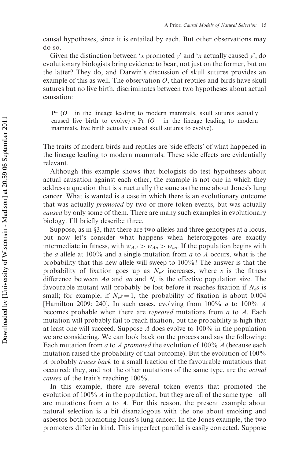causal hypotheses, since it is entailed by each. But other observations may do so.

Given the distinction between 'x promoted y' and 'x actually caused y', do evolutionary biologists bring evidence to bear, not just on the former, but on the latter? They do, and Darwin's discussion of skull sutures provides an example of this as well. The observation  $O$ , that reptiles and birds have skull sutures but no live birth, discriminates between two hypotheses about actual causation:

Pr  $(O |$  in the lineage leading to modern mammals, skull sutures actually caused live birth to evolve) > Pr (O | in the lineage leading to modern mammals, live birth actually caused skull sutures to evolve).

The traits of modern birds and reptiles are 'side effects' of what happened in the lineage leading to modern mammals. These side effects are evidentially relevant.

Although this example shows that biologists do test hypotheses about actual causation against each other, the example is not one in which they address a question that is structurally the same as the one about Jones's lung cancer. What is wanted is a case in which there is an evolutionary outcome that was actually promoted by two or more token events, but was actually caused by only some of them. There are many such examples in evolutionary biology. I'll briefly describe three.

Suppose, as in  $\S$ 3, that there are two alleles and three genotypes at a locus, but now let's consider what happens when heterozygotes are exactly intermediate in fitness, with  $w_{AA} > w_{A} > w_{aa}$ . If the population begins with the *a* allele at 100% and a single mutation from *a* to *A* occurs, what is the probability that this new allele will sweep to 100%? The answer is that the probability of fixation goes up as  $N_e$  increases, where s is the fitness difference between Aa and aa and  $N_e$  is the effective population size. The favourable mutant will probably be lost before it reaches fixation if  $N_{e}$ s is small; for example, if  $N_e s = 1$ , the probability of fixation is about 0.004 [Hamilton 2009: 240]. In such cases, evolving from  $100\%$  *a* to  $100\%$  *A* becomes probable when there are repeated mutations from a to A. Each mutation will probably fail to reach fixation, but the probability is high that at least one will succeed. Suppose A does evolve to 100% in the population we are considering. We can look back on the process and say the following: Each mutation from a to A promoted the evolution of 100%  $\hat{A}$  (because each mutation raised the probability of that outcome). But the evolution of 100% A probably *traces back* to a small fraction of the favourable mutations that occurred; they, and not the other mutations of the same type, are the actual causes of the trait's reaching 100%.

In this example, there are several token events that promoted the evolution of 100%  $\hat{A}$  in the population, but they are all of the same type—all are mutations from *a* to *A*. For this reason, the present example about natural selection is a bit disanalogous with the one about smoking and asbestos both promoting Jones's lung cancer. In the Jones example, the two promoters differ in kind. This imperfect parallel is easily corrected. Suppose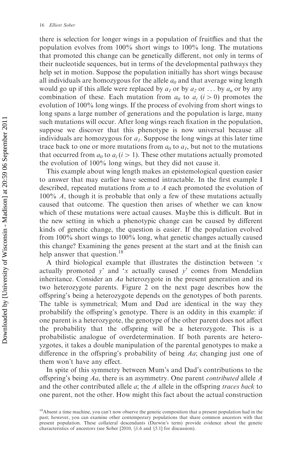there is selection for longer wings in a population of fruitflies and that the population evolves from 100% short wings to 100% long. The mutations that promoted this change can be genetically different, not only in terms of their nucleotide sequences, but in terms of the developmental pathways they help set in motion. Suppose the population initially has short wings because all individuals are homozygous for the allele  $a_0$  and that average wing length would go up if this allele were replaced by  $a_1$  or by  $a_2$  or ... by  $a_n$  or by any combination of these. Each mutation from  $a_0$  to  $a_i$  (i > 0) promotes the evolution of 100% long wings. If the process of evolving from short wings to long spans a large number of generations and the population is large, many such mutations will occur. After long wings reach fixation in the population, suppose we discover that this phenotype is now universal because all individuals are homozygous for  $a<sub>1</sub>$ . Suppose the long wings at this later time trace back to one or more mutations from  $a_0$  to  $a_1$ , but not to the mutations that occurred from  $a_0$  to  $a_i$  ( $i > 1$ ). These other mutations actually promoted the evolution of 100% long wings, but they did not cause it.

This example about wing length makes an epistemological question easier to answer that may earlier have seemed intractable. In the first example I described, repeated mutations from a to A each promoted the evolution of 100% A, though it is probable that only a few of these mutations actually caused that outcome. The question then arises of whether we can know which of these mutations were actual causes. Maybe this is difficult. But in the new setting in which a phenotypic change can be caused by different kinds of genetic change, the question is easier. If the population evolved from 100% short wings to 100% long, what genetic changes actually caused this change? Examining the genes present at the start and at the finish can help answer that question.<sup>18</sup>

A third biological example that illustrates the distinction between  $x$ actually promoted  $y'$  and 'x actually caused  $y'$  comes from Mendelian inheritance. Consider an  $Aa$  heterozygote in the present generation and its two heterozygote parents. Figure 2 on the next page describes how the offspring's being a heterozygote depends on the genotypes of both parents. The table is symmetrical; Mum and Dad are identical in the way they probabilify the offspring's genotype. There is an oddity in this example: if one parent is a heterozygote, the genotype of the other parent does not affect the probability that the offspring will be a heterozygote. This is a probabilistic analogue of overdetermination. If both parents are heteroyzgotes, it takes a double manipulation of the parental genotypes to make a difference in the offspring's probability of being  $Aa$ ; changing just one of them won't have any effect.

In spite of this symmetry between Mum's and Dad's contributions to the offspring's being Aa, there is an asymmetry. One parent contributed allele A and the other contributed allele  $a$ ; the  $A$  allele in the offspring *traces back* to one parent, not the other. How might this fact about the actual construction

<sup>&</sup>lt;sup>18</sup>Absent a time machine, you can't now observe the genetic composition that a present population had in the past; however, you can examine other contemporary populations that share common ancestors with that present population. These collateral descendants (Darwin's term) provide evidence about the genetic characteristics of ancestors (see Sober [2010,  $\S1.6$  and  $\S5.1$ ] for discussion).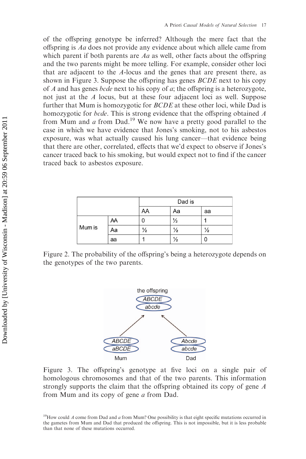of the offspring genotype be inferred? Although the mere fact that the offspring is Aa does not provide any evidence about which allele came from which parent if both parents are  $Aa$  as well, other facts about the offspring and the two parents might be more telling. For example, consider other loci that are adjacent to the A-locus and the genes that are present there, as shown in Figure 3. Suppose the offspring has genes *BCDE* next to his copy of A and has genes *bcde* next to his copy of  $a$ ; the offspring is a heterozygote, not just at the A locus, but at these four adjacent loci as well. Suppose further that Mum is homozygotic for BCDE at these other loci, while Dad is homozygotic for *bcde*. This is strong evidence that the offspring obtained A from Mum and  $a$  from Dad.<sup>19</sup> We now have a pretty good parallel to the case in which we have evidence that Jones's smoking, not to his asbestos exposure, was what actually caused his lung cancer—that evidence being that there are other, correlated, effects that we'd expect to observe if Jones's cancer traced back to his smoking, but would expect not to find if the cancer traced back to asbestos exposure.

|        |    | Dad is        |               |               |
|--------|----|---------------|---------------|---------------|
|        |    | AA            | Aa            | aa            |
| Mum is | AΑ | 0             | $\frac{1}{2}$ |               |
|        | Aa | $\frac{1}{2}$ | $\frac{1}{2}$ | $\frac{1}{2}$ |
|        | aa |               | $\frac{1}{2}$ | U             |

Figure 2. The probability of the offspring's being a heterozygote depends on the genotypes of the two parents.



Figure 3. The offspring's genotype at five loci on a single pair of homologous chromosomes and that of the two parents. This information strongly supports the claim that the offspring obtained its copy of gene A from Mum and its copy of gene a from Dad.

<sup>&</sup>lt;sup>19</sup>How could A come from Dad and a from Mum? One possibility is that eight specific mutations occurred in the gametes from Mum and Dad that produced the offspring. This is not impossible, but it is less probable than that none of these mutations occurred.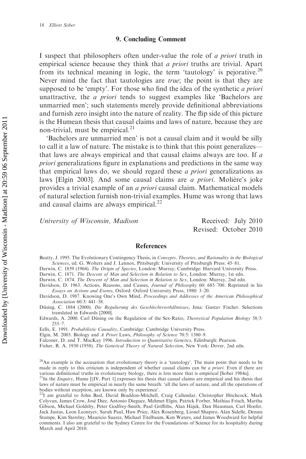#### 9. Concluding Comment

I suspect that philosophers often under-value the role of a priori truth in empirical science because they think that a priori truths are trivial. Apart from its technical meaning in logic, the term 'tautology' is pejorative.<sup>20</sup> Never mind the fact that tautologies are *true*; the point is that they are supposed to be 'empty'. For those who find the idea of the synthetic *a priori* unattractive, the a priori tends to suggest examples like 'Bachelors are unmarried men'; such statements merely provide definitional abbreviations and furnish zero insight into the nature of reality. The flip side of this picture is the Humean thesis that causal claims and laws of nature, because they are non-trivial, must be empirical.<sup>21</sup>

'Bachelors are unmarried men' is not a causal claim and it would be silly to call it a law of nature. The mistake is to think that this point generalizes that laws are always empirical and that causal claims always are too. If a priori generalizations figure in explanations and predictions in the same way that empirical laws do, we should regard these a priori generalizations as laws [Elgin 2003]. And some causal claims are *a priori*. Molière's joke provides a trivial example of an a priori causal claim. Mathematical models of natural selection furnish non-trivial examples. Hume was wrong that laws and causal claims are always empirical.<sup>22</sup>

University of Wisconsin, Madison Received: July 2010

Revised: October 2010

#### References

Beatty, J. 1995. The Evolutionary Contingency Thesis, in Concepts, Theories, and Rationality in the Biological Sciences, ed. G. Wolters and J. Lennox, Pittsburgh: University of Pittsburgh Press: 45–81.

Darwin, C. 1859 (1964). The Origin of Species, London: Murray; Cambridge: Harvard University Press.

Darwin, C. 1871. The Descent of Man and Selection in Relation to Sex, London: Murray, 1st edn.

Darwin, C. 1874. The Descent of Man and Selection in Relation to Sex, London: Murray, 2nd edn.

Davidson, D. 1963. Actions, Reasons, and Causes, Journal of Philosophy 60: 685–700. Reprinted in his Essays on Actions and Events, Oxford: Oxford University Press, 1980: 3–20.

Davidson, D. 1987. Knowing One's Own Mind, Proceedings and Addresses of the American Philosophical Association 60/3: 441–58.

Düsing, C. 1884 (2000). Die Regulierung des Geschlechtsverhältnisses, Jena: Gustav Fischer. Selections translated in Edwards [2000].

Edwards, A. 2000. Carl Düsing on the Regulation of the Sex-Ratio, Theoretical Population Biology 58/3: 255–7.

Eells, E. 1991. Probabilistic Causality, Cambridge: Cambridge University Press.

Elgin, M. 2003. Biology and A Priori Laws, Philosophy of Science 70/5: 1380–9.

Falconer, D. and T. MacKay 1996. Introduction to Quantitative Genetics, Edinburgh: Pearson.

Fisher, R. A. 1930 (1958). The Genetical Theory of Natural Selection, New York: Dover, 2nd edn.

 $20$ An example is the accusation that evolutionary theory is a 'tautology'. The main point that needs to be made in reply to this criticism is independent of whether causal claims can be a priori. Even if there are various definitional truths in evolutionary biology, there is lots more that is empirical [Sober 1984a].

 $21$ In the *Enquiry*, Hume [§IV, Part 1] expresses his thesis that causal claims are empirical and his thesis that laws of nature must be empirical in nearly the same breath: 'all the laws of nature, and all the operations of bodies without exception, are known only by experience'.

<sup>22</sup>I am grateful to John Basl, David Braddon-Mitchell, Craig Callendar, Christopher Hitchcock, Mark Colyvan, James Crow, Jose´ Diez, Antonio Dieguez, Mehmet Elgin, Patrick Forber, Mathias Frisch, Martha Gibson, Michael Goldsby, Peter Godfrey-Smith, Paul Griffiths, Alan Hájek, Dan Hausman, Carl Hoefer, Jack Justus, Leon Leontyev, Sarah Paul, Huw Price, Alex Rosenberg, Lionel Shapiro, Alan Sidelle, Dennis Stampe, Kim Sterelny, Mauricio Suarez, Michael Titelbaum, Ken Waters, and James Woodward for helpful comments. I also am grateful to the Sydney Centre for the Foundations of Science for its hospitality during March and April 2010.